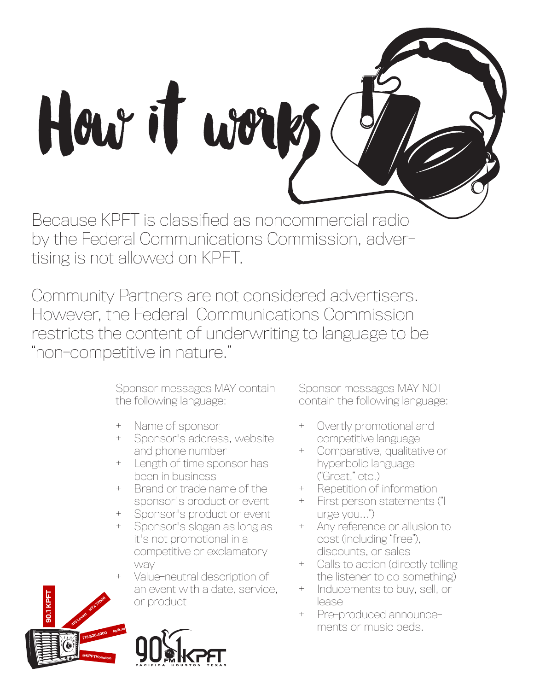

by the Federal Communications Commission, advertising is not allowed on KPFT.

Community Partners are not considered advertisers. However, the Federal Communications Commission restricts the content of underwriting to language to be "non-competitive in nature."

> Sponsor messages MAY contain the following language:

- + Name of sponsor
- Sponsor's address, website and phone number
- + Length of time sponsor has been in business
- + Brand or trade name of the sponsor's product or event
- + Sponsor's product or event
- Sponsor's slogan as long as it's not promotional in a competitive or exclamatory way
- Value-neutral description of an event with a date, service, or product

Sponsor messages MAY NOT contain the following language:

- + Overtly promotional and competitive language
- + Comparative, qualitative or hyperbolic language ("Great," etc.)
- + Repetition of information
- + First person statements ("I urge you...")
- + Any reference or allusion to cost (including "free"), discounts, or sales
- + Calls to action (directly telling the listener to do something)
- + Inducements to buy, sell, or lease
- + Pre-produced announce ments or music beds.



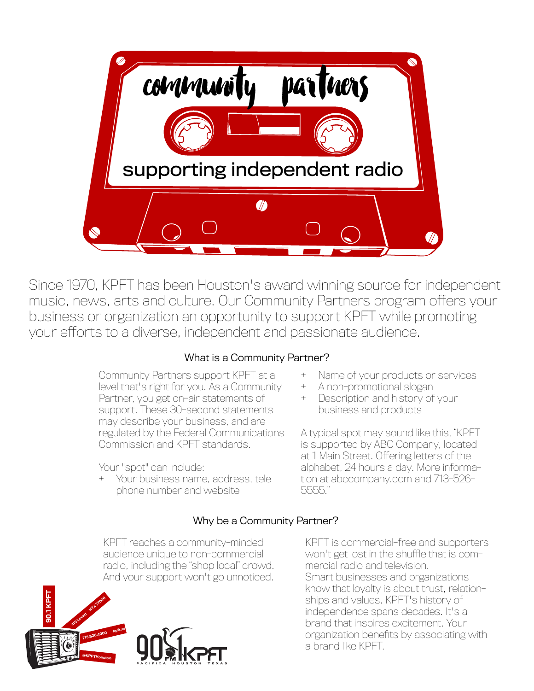

Since 1970, KPFT has been Houston's award winning source for independent music, news, arts and culture. Our Community Partners program offers your business or organization an opportunity to support KPFT while promoting your efforts to a diverse, independent and passionate audience.

# What is a Community Partner?

Community Partners support KPFT at a level that's right for you. As a Community Partner, you get on-air statements of support. These 30-second statements may describe your business, and are regulated by the Federal Communications Commission and KPFT standards.

Your "spot" can include:

+ Your business name, address, tele phone number and website

- + Name of your products or services
- + A non-promotional slogan
- + Description and history of your business and products

A typical spot may sound like this, "KPFT is supported by ABC Company, located at 1 Main Street. Offering letters of the alphabet, 24 hours a day. More information at abccompany.com and 713-526- 5555."

# Why be a Community Partner?

KPFT reaches a community-minded audience unique to non-commercial radio, including the "shop local" crowd. And your support won't go unnoticed.



KPFT is commercial-free and supporters won't get lost in the shuffle that is commercial radio and television. Smart businesses and organizations know that loyalty is about trust, relationships and values. KPFT's history of independence spans decades. It's a brand that inspires excitement. Your organization benefits by associating with a brand like KPFT.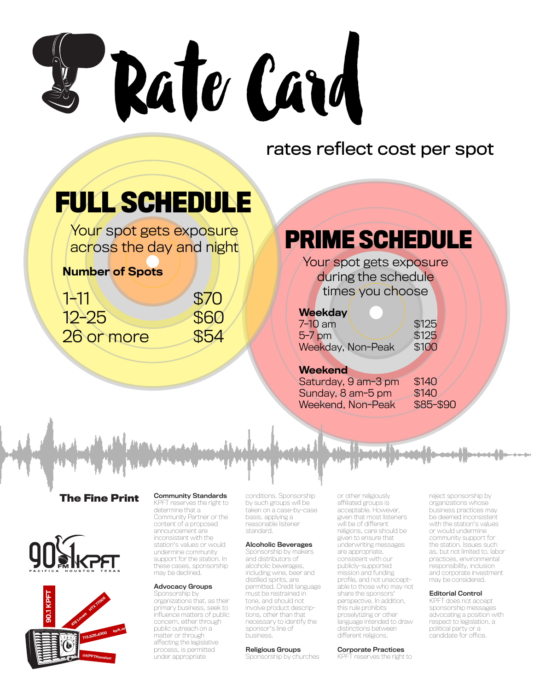

# rates reflect cost per spot

# **FULL SCHEDULE**

Your spot gets exposure across the day and night

# Number of Spots

| <b>ANT</b> | \$70 |
|------------|------|
| $12 - 25$  | \$60 |
| 26 or more | \$54 |

# **PRIME SCHEDULE**

Your spot gets exposure during the schedule times you choose

### **Weekday**

| $7-10$ am         | \$125 |
|-------------------|-------|
| $5-7$ pm          | \$125 |
| Weekday, Non-Peak | \$100 |

#### **Weekend**

Saturday, 9 am-3 pm \$140 Sunday,  $8$  am- $5$  pm  $$140$ Weekend, Non-Peak \$85-\$90

**The Fine Print**





#### Community Standards

KPFT reserves the right to determine that a Community Partner or the content of a proposed announcement are inconsistent with the station's values or would undermine community support for the station. In these cases, sponsorship may be declined.

#### Advocacy Groups

Sponsorship by organizations that, as their primary business, seek to influence matters of public concern, either through public outreach on a matter or through affecting the legislative process, is permitted under appropriate

conditions. Sponsorship by such groups will be taken on a case-by-case basis, applying a reasonable listener standard.

#### Alcoholic Beverages

Sponsorship by makers and distributors of alcoholic beverages, including wine, beer and distilled spirits, are permitted. Credit language must be restrained in tone, and should not involve product descriptions, other than that necessary to identify the sponsor's line of business.

#### Religious Groups

Sponsorship by churches

or other religiously affiliated groups is acceptable. However, given that most listeners will be of different religions, care should be given to ensure that underwriting messages are appropriate, consistent with our publicly-supported mission and funding profile, and not unacceptable to those who may not share the sponsors' perspective. In addition, this rule prohibits proselytizing or other language intended to draw distinctions between different religions.

#### Corporate Practices

KPFT reserves the right to

reject sponsorship by organizations whose business practices may be deemed inconsistent with the station's values or would undermine community support for the station. Issues such as, but not limited to, labor practices, environmental responsibility, inclusion and corporate investment may be considered.

#### Editorial Control

KPFT does not accept sponsorship messages advocating a position with respect to legislation, a political party or a candidate for office.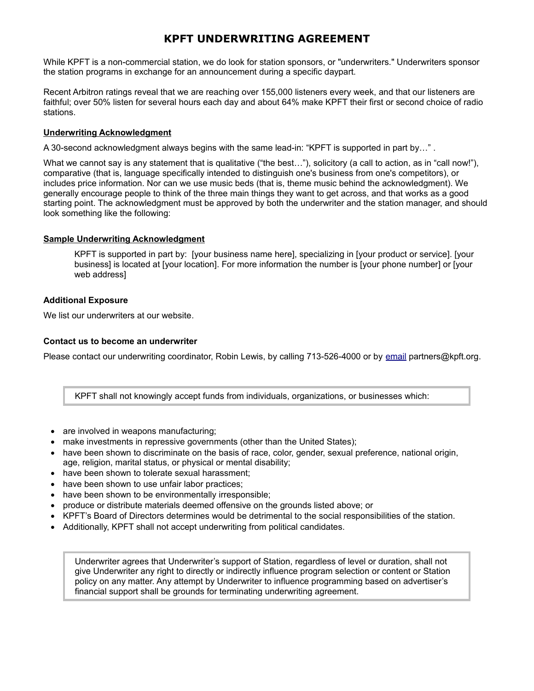## **KPFT UNDERWRITING AGREEMENT**

While KPFT is a non-commercial station, we do look for station sponsors, or "underwriters." Underwriters sponsor the station programs in exchange for an announcement during a specific daypart.

Recent Arbitron ratings reveal that we are reaching over 155,000 listeners every week, and that our listeners are faithful; over 50% listen for several hours each day and about 64% make KPFT their first or second choice of radio stations.

#### **Underwriting Acknowledgment**

A 30-second acknowledgment always begins with the same lead-in: "KPFT is supported in part by…" .

What we cannot say is any statement that is qualitative ("the best..."), solicitory (a call to action, as in "call now!"), comparative (that is, language specifically intended to distinguish one's business from one's competitors), or includes price information. Nor can we use music beds (that is, theme music behind the acknowledgment). We generally encourage people to think of the three main things they want to get across, and that works as a good starting point. The acknowledgment must be approved by both the underwriter and the station manager, and should look something like the following:

#### **Sample Underwriting Acknowledgment**

KPFT is supported in part by: [your business name here], specializing in [your product or service]. [your business] is located at [your location]. For more information the number is [your phone number] or [your web address]

#### **Additional Exposure**

We list our [underwriters at our website.](http://kboo.fm/underview)

#### **Contact us to become an underwriter**

Please contact our underwriting coordinator, Robin Lewis, by calling 713-526-4000 or by [email](http://kboo.fm/user/41/contact) partners@kpft.org.

KPFT shall not knowingly accept funds from individuals, organizations, or businesses which:

- are involved in weapons manufacturing;
- make investments in repressive governments (other than the United States);
- have been shown to discriminate on the basis of race, color, gender, sexual preference, national origin, age, religion, marital status, or physical or mental disability;
- have been shown to tolerate sexual harassment;
- have been shown to use unfair labor practices:
- have been shown to be environmentally irresponsible;
- produce or distribute materials deemed offensive on the grounds listed above; or
- KPFT's Board of Directors determines would be detrimental to the social responsibilities of the station.
- Additionally, KPFT shall not accept underwriting from political candidates.

Underwriter agrees that Underwriter's support of Station, regardless of level or duration, shall not give Underwriter any right to directly or indirectly influence program selection or content or Station policy on any matter. Any attempt by Underwriter to influence programming based on advertiser's financial support shall be grounds for terminating underwriting agreement.